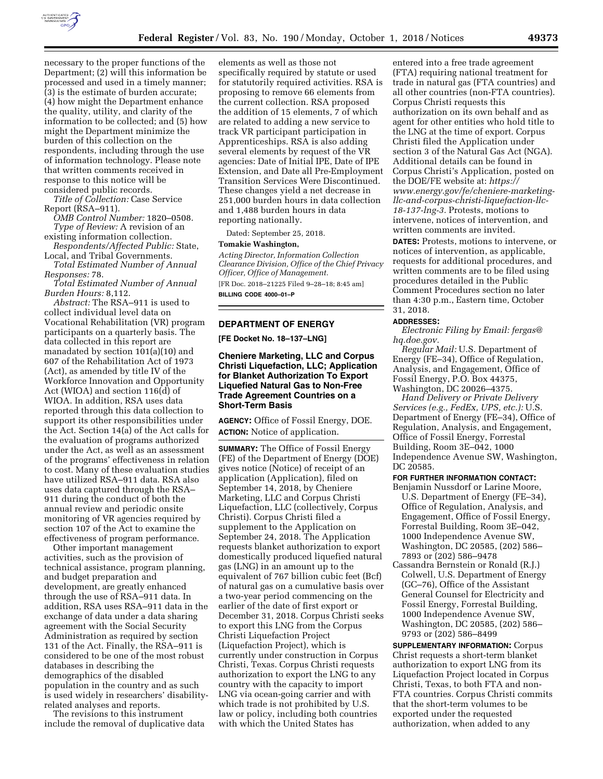

necessary to the proper functions of the Department; (2) will this information be processed and used in a timely manner; (3) is the estimate of burden accurate; (4) how might the Department enhance the quality, utility, and clarity of the information to be collected; and (5) how might the Department minimize the burden of this collection on the respondents, including through the use of information technology. Please note

that written comments received in response to this notice will be considered public records. *Title of Collection:* Case Service

Report (RSA–911).

*OMB Control Number:* 1820–0508. *Type of Review:* A revision of an

existing information collection. *Respondents/Affected Public:* State,

Local, and Tribal Governments. *Total Estimated Number of Annual Responses:* 78.

*Total Estimated Number of Annual Burden Hours:* 8,112.

*Abstract:* The RSA–911 is used to collect individual level data on Vocational Rehabilitation (VR) program participants on a quarterly basis. The data collected in this report are manadated by section 101(a)(10) and 607 of the Rehabilitation Act of 1973 (Act), as amended by title IV of the Workforce Innovation and Opportunity Act (WIOA) and section 116(d) of WIOA. In addition, RSA uses data reported through this data collection to support its other responsibilities under the Act. Section 14(a) of the Act calls for the evaluation of programs authorized under the Act, as well as an assessment of the programs' effectiveness in relation to cost. Many of these evaluation studies have utilized RSA–911 data. RSA also uses data captured through the RSA– 911 during the conduct of both the annual review and periodic onsite monitoring of VR agencies required by section 107 of the Act to examine the effectiveness of program performance.

Other important management activities, such as the provision of technical assistance, program planning, and budget preparation and development, are greatly enhanced through the use of RSA–911 data. In addition, RSA uses RSA–911 data in the exchange of data under a data sharing agreement with the Social Security Administration as required by section 131 of the Act. Finally, the RSA–911 is considered to be one of the most robust databases in describing the demographics of the disabled population in the country and as such is used widely in researchers' disabilityrelated analyses and reports.

The revisions to this instrument include the removal of duplicative data

elements as well as those not specifically required by statute or used for statutorily required activities. RSA is proposing to remove 66 elements from the current collection. RSA proposed the addition of 15 elements, 7 of which are related to adding a new service to track VR participant participation in Apprenticeships. RSA is also adding several elements by request of the VR agencies: Date of Initial IPE, Date of IPE Extension, and Date all Pre-Employment Transition Services Were Discontinued. These changes yield a net decrease in 251,000 burden hours in data collection and 1,488 burden hours in data reporting nationally.

Dated: September 25, 2018.

### **Tomakie Washington,**

*Acting Director, Information Collection Clearance Division, Office of the Chief Privacy Officer, Office of Management.* 

[FR Doc. 2018–21225 Filed 9–28–18; 8:45 am] **BILLING CODE 4000–01–P** 

## **DEPARTMENT OF ENERGY**

**[FE Docket No. 18–137–LNG]** 

## **Cheniere Marketing, LLC and Corpus Christi Liquefaction, LLC; Application for Blanket Authorization To Export Liquefied Natural Gas to Non-Free Trade Agreement Countries on a Short-Term Basis**

**AGENCY:** Office of Fossil Energy, DOE. **ACTION:** Notice of application.

**SUMMARY:** The Office of Fossil Energy (FE) of the Department of Energy (DOE) gives notice (Notice) of receipt of an application (Application), filed on September 14, 2018, by Cheniere Marketing, LLC and Corpus Christi Liquefaction, LLC (collectively, Corpus Christi). Corpus Christi filed a supplement to the Application on September 24, 2018. The Application requests blanket authorization to export domestically produced liquefied natural gas (LNG) in an amount up to the equivalent of 767 billion cubic feet (Bcf) of natural gas on a cumulative basis over a two-year period commencing on the earlier of the date of first export or December 31, 2018. Corpus Christi seeks to export this LNG from the Corpus Christi Liquefaction Project (Liquefaction Project), which is currently under construction in Corpus Christi, Texas. Corpus Christi requests authorization to export the LNG to any country with the capacity to import LNG via ocean-going carrier and with which trade is not prohibited by U.S. law or policy, including both countries with which the United States has

entered into a free trade agreement (FTA) requiring national treatment for trade in natural gas (FTA countries) and all other countries (non-FTA countries). Corpus Christi requests this authorization on its own behalf and as agent for other entities who hold title to the LNG at the time of export. Corpus Christi filed the Application under section 3 of the Natural Gas Act (NGA). Additional details can be found in Corpus Christi's Application, posted on the DOE/FE website at: *[https://](https://www.energy.gov/fe/cheniere-marketing-llc-and-corpus-christi-liquefaction-llc-18-137-lng-3) [www.energy.gov/fe/cheniere-marketing](https://www.energy.gov/fe/cheniere-marketing-llc-and-corpus-christi-liquefaction-llc-18-137-lng-3)[llc-and-corpus-christi-liquefaction-llc-](https://www.energy.gov/fe/cheniere-marketing-llc-and-corpus-christi-liquefaction-llc-18-137-lng-3)[18-137-lng-3.](https://www.energy.gov/fe/cheniere-marketing-llc-and-corpus-christi-liquefaction-llc-18-137-lng-3)* Protests, motions to intervene, notices of intervention, and written comments are invited. **DATES:** Protests, motions to intervene, or notices of intervention, as applicable, requests for additional procedures, and written comments are to be filed using procedures detailed in the Public Comment Procedures section no later than 4:30 p.m., Eastern time, October 31, 2018.

#### **ADDRESSES:**

*Electronic Filing by Email: [fergas@](mailto:fergas@hq.doe.gov) [hq.doe.gov.](mailto:fergas@hq.doe.gov)* 

*Regular Mail:* U.S. Department of Energy (FE–34), Office of Regulation, Analysis, and Engagement, Office of Fossil Energy, P.O. Box 44375, Washington, DC 20026–4375.

*Hand Delivery or Private Delivery Services (e.g., FedEx, UPS, etc.):* U.S. Department of Energy (FE–34), Office of Regulation, Analysis, and Engagement, Office of Fossil Energy, Forrestal Building, Room 3E–042, 1000 Independence Avenue SW, Washington, DC 20585.

#### **FOR FURTHER INFORMATION CONTACT:**

- Benjamin Nussdorf or Larine Moore, U.S. Department of Energy (FE–34), Office of Regulation, Analysis, and Engagement, Office of Fossil Energy, Forrestal Building, Room 3E–042, 1000 Independence Avenue SW, Washington, DC 20585, (202) 586– 7893 or (202) 586–9478
- Cassandra Bernstein or Ronald (R.J.) Colwell, U.S. Department of Energy (GC–76), Office of the Assistant General Counsel for Electricity and Fossil Energy, Forrestal Building, 1000 Independence Avenue SW, Washington, DC 20585, (202) 586– 9793 or (202) 586–8499

**SUPPLEMENTARY INFORMATION:** Corpus Christ requests a short-term blanket authorization to export LNG from its Liquefaction Project located in Corpus Christi, Texas, to both FTA and non-FTA countries. Corpus Christi commits that the short-term volumes to be exported under the requested authorization, when added to any